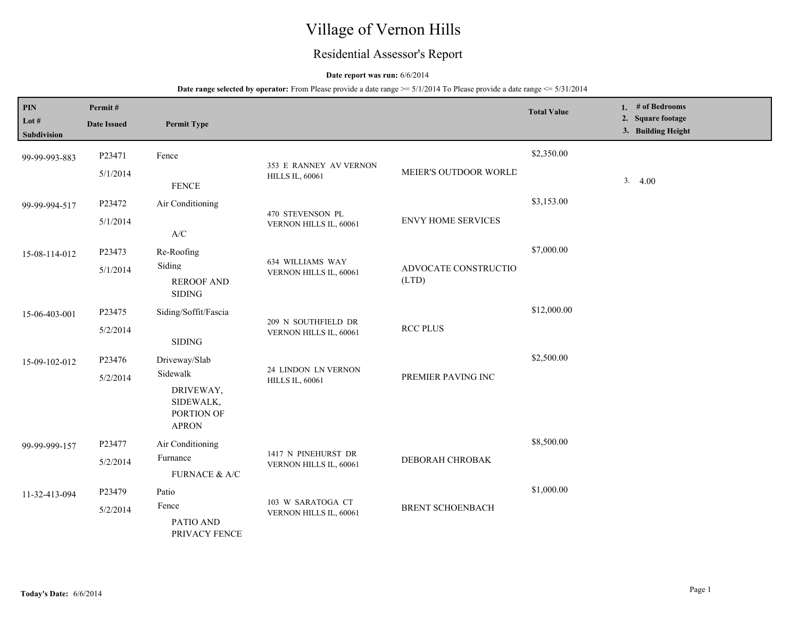# Village of Vernon Hills

## Residential Assessor's Report

## **Date report was run:** 6/6/2014

| $\mathbf{PIN}$                 | Permit#            |                                                                  |                                                  |                           | <b>Total Value</b> | 1. $#$ of Bedrooms                      |
|--------------------------------|--------------------|------------------------------------------------------------------|--------------------------------------------------|---------------------------|--------------------|-----------------------------------------|
| Lot $\#$<br><b>Subdivision</b> | <b>Date Issued</b> | <b>Permit Type</b>                                               |                                                  |                           |                    | 2. Square footage<br>3. Building Height |
| 99-99-993-883                  | P23471             | Fence                                                            |                                                  |                           | \$2,350.00         |                                         |
|                                | 5/1/2014           | <b>FENCE</b>                                                     | 353 E RANNEY AV VERNON<br><b>HILLS IL, 60061</b> | MEIER'S OUTDOOR WORLD     |                    | 3.4.00                                  |
| 99-99-994-517                  | P23472             | Air Conditioning                                                 | 470 STEVENSON PL                                 |                           | \$3,153.00         |                                         |
|                                | 5/1/2014           | $\ensuremath{\text{A}}\xspace/\ensuremath{\text{C}}\xspace$      | VERNON HILLS IL, 60061                           | <b>ENVY HOME SERVICES</b> |                    |                                         |
| 15-08-114-012                  | P23473             | Re-Roofing                                                       | 634 WILLIAMS WAY                                 |                           | \$7,000.00         |                                         |
|                                | 5/1/2014           | Siding<br><b>REROOF AND</b><br><b>SIDING</b>                     | VERNON HILLS IL, 60061<br>(LTD)                  | ADVOCATE CONSTRUCTIO      |                    |                                         |
| 15-06-403-001                  | P23475             | Siding/Soffit/Fascia                                             |                                                  |                           | \$12,000.00        |                                         |
|                                | 5/2/2014           | <b>SIDING</b>                                                    | 209 N SOUTHFIELD DR<br>VERNON HILLS IL, 60061    | <b>RCC PLUS</b>           |                    |                                         |
| 15-09-102-012                  | P23476             | Driveway/Slab                                                    |                                                  |                           | \$2,500.00         |                                         |
|                                | 5/2/2014           | Sidewalk<br>DRIVEWAY,<br>SIDEWALK,<br>PORTION OF<br><b>APRON</b> | 24 LINDON LN VERNON<br><b>HILLS IL, 60061</b>    | PREMIER PAVING INC        |                    |                                         |
| 99-99-999-157                  | P23477             | Air Conditioning                                                 |                                                  |                           | \$8,500.00         |                                         |
|                                | 5/2/2014           | Furnance<br>FURNACE $\&$ A/C                                     | 1417 N PINEHURST DR<br>VERNON HILLS IL, 60061    | DEBORAH CHROBAK           |                    |                                         |
| 11-32-413-094                  | P23479             | Patio                                                            |                                                  |                           | \$1,000.00         |                                         |
|                                | 5/2/2014           | Fence<br>PATIO AND<br>PRIVACY FENCE                              | 103 W SARATOGA CT<br>VERNON HILLS IL, 60061      | <b>BRENT SCHOENBACH</b>   |                    |                                         |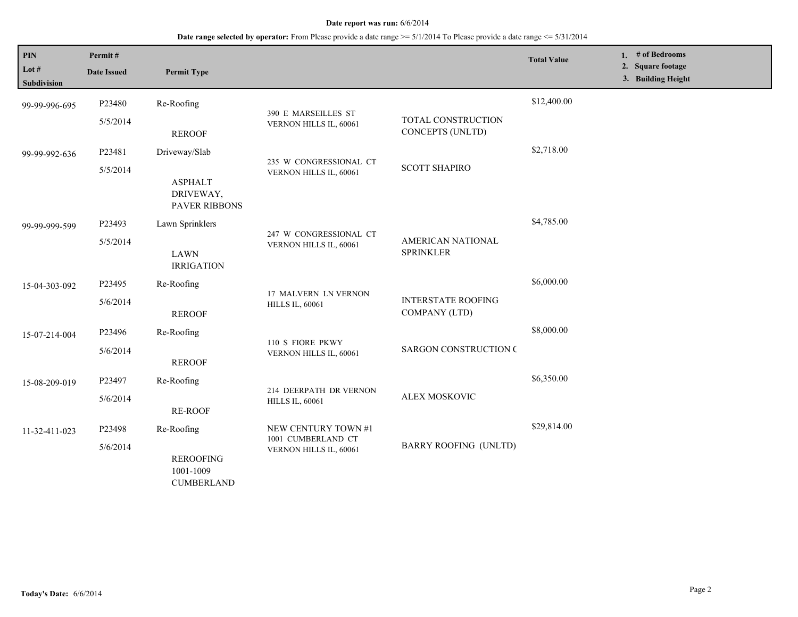**Date range selected by operator:** From Please provide a date range >= 5/1/2014 To Please provide a date range <= 5/31/2014

| PIN<br>Lot #<br><b>Subdivision</b> | Permit#<br><b>Date Issued</b> | <b>Permit Type</b>                                  |                                                  |                                            | <b>Total Value</b> | 1. # of Bedrooms<br>2. Square footage<br>3. Building Height |
|------------------------------------|-------------------------------|-----------------------------------------------------|--------------------------------------------------|--------------------------------------------|--------------------|-------------------------------------------------------------|
| 99-99-996-695                      | P23480                        | Re-Roofing                                          |                                                  |                                            | \$12,400.00        |                                                             |
|                                    | 5/5/2014                      | <b>REROOF</b>                                       | 390 E MARSEILLES ST<br>VERNON HILLS IL, 60061    | TOTAL CONSTRUCTION<br>CONCEPTS (UNLTD)     |                    |                                                             |
| 99-99-992-636                      | P23481                        | Driveway/Slab                                       |                                                  |                                            | \$2,718.00         |                                                             |
|                                    | 5/5/2014                      | <b>ASPHALT</b><br>DRIVEWAY,<br><b>PAVER RIBBONS</b> | 235 W CONGRESSIONAL CT<br>VERNON HILLS IL, 60061 | <b>SCOTT SHAPIRO</b>                       |                    |                                                             |
| 99-99-999-599                      | P23493                        | Lawn Sprinklers                                     | 247 W CONGRESSIONAL CT                           |                                            | \$4,785.00         |                                                             |
|                                    | 5/5/2014                      | <b>LAWN</b><br><b>IRRIGATION</b>                    | VERNON HILLS IL, 60061<br><b>SPRINKLER</b>       | AMERICAN NATIONAL                          |                    |                                                             |
| 15-04-303-092                      | P23495                        | Re-Roofing                                          | 17 MALVERN LN VERNON<br><b>HILLS IL, 60061</b>   |                                            | \$6,000.00         |                                                             |
|                                    | 5/6/2014                      | <b>REROOF</b>                                       |                                                  | <b>INTERSTATE ROOFING</b><br>COMPANY (LTD) |                    |                                                             |
| 15-07-214-004                      | P23496                        | Re-Roofing                                          | 110 S FIORE PKWY                                 |                                            | \$8,000.00         |                                                             |
|                                    | 5/6/2014                      | <b>REROOF</b>                                       | VERNON HILLS IL, 60061                           | <b>SARGON CONSTRUCTION C</b>               |                    |                                                             |
| 15-08-209-019                      | P23497                        | Re-Roofing                                          | 214 DEERPATH DR VERNON                           |                                            | \$6,350.00         |                                                             |
|                                    | 5/6/2014                      | <b>RE-ROOF</b>                                      | <b>HILLS IL, 60061</b>                           | ALEX MOSKOVIC                              |                    |                                                             |
| 11-32-411-023                      | P23498                        | Re-Roofing                                          | NEW CENTURY TOWN #1<br>1001 CUMBERLAND CT        |                                            | \$29,814.00        |                                                             |
|                                    | 5/6/2014                      | <b>REROOFING</b><br>1001-1009<br><b>CUMBERLAND</b>  | VERNON HILLS IL, 60061                           | <b>BARRY ROOFING (UNLTD)</b>               |                    |                                                             |

L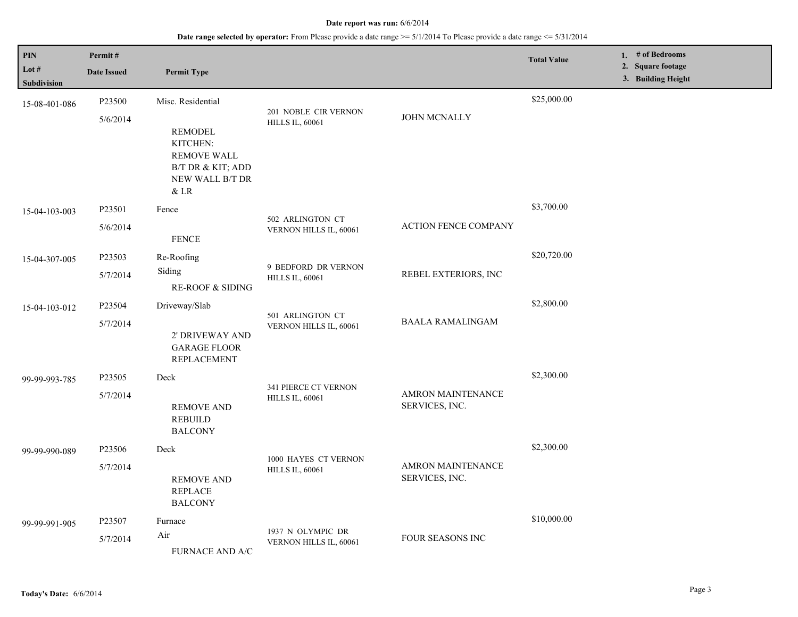| PIN<br>Lot #<br>Subdivision | Permit#<br><b>Date Issued</b> | <b>Permit Type</b>                                                                                                      |                                                |                                            | <b>Total Value</b> | 1. $#$ of Bedrooms<br>2. Square footage<br>3. Building Height |
|-----------------------------|-------------------------------|-------------------------------------------------------------------------------------------------------------------------|------------------------------------------------|--------------------------------------------|--------------------|---------------------------------------------------------------|
| 15-08-401-086               | P23500<br>5/6/2014            | Misc. Residential<br><b>REMODEL</b><br>KITCHEN:<br><b>REMOVE WALL</b><br>B/T DR & KIT; ADD<br>NEW WALL B/T DR<br>$&$ LR | 201 NOBLE CIR VERNON<br><b>HILLS IL, 60061</b> | JOHN MCNALLY                               | \$25,000.00        |                                                               |
| 15-04-103-003               | P23501<br>5/6/2014            | Fence<br><b>FENCE</b>                                                                                                   | 502 ARLINGTON CT<br>VERNON HILLS IL, 60061     | <b>ACTION FENCE COMPANY</b>                | \$3,700.00         |                                                               |
| 15-04-307-005               | P23503<br>5/7/2014            | Re-Roofing<br>Siding<br><b>RE-ROOF &amp; SIDING</b>                                                                     | 9 BEDFORD DR VERNON<br><b>HILLS IL, 60061</b>  | REBEL EXTERIORS, INC                       | \$20,720.00        |                                                               |
| 15-04-103-012               | P23504<br>5/7/2014            | Driveway/Slab<br>2' DRIVEWAY AND<br><b>GARAGE FLOOR</b><br><b>REPLACEMENT</b>                                           | 501 ARLINGTON CT<br>VERNON HILLS IL, 60061     | <b>BAALA RAMALINGAM</b>                    | \$2,800.00         |                                                               |
| 99-99-993-785               | P23505<br>5/7/2014            | Deck<br><b>REMOVE AND</b><br><b>REBUILD</b><br><b>BALCONY</b>                                                           | 341 PIERCE CT VERNON<br><b>HILLS IL, 60061</b> | <b>AMRON MAINTENANCE</b><br>SERVICES, INC. | \$2,300.00         |                                                               |
| 99-99-990-089               | P23506<br>5/7/2014            | Deck<br><b>REMOVE AND</b><br><b>REPLACE</b><br><b>BALCONY</b>                                                           | 1000 HAYES CT VERNON<br><b>HILLS IL, 60061</b> | <b>AMRON MAINTENANCE</b><br>SERVICES, INC. | \$2,300.00         |                                                               |
| 99-99-991-905               | P23507<br>5/7/2014            | Furnace<br>Air<br><b>FURNACE AND A/C</b>                                                                                | 1937 N OLYMPIC DR<br>VERNON HILLS IL, 60061    | <b>FOUR SEASONS INC</b>                    | \$10,000.00        |                                                               |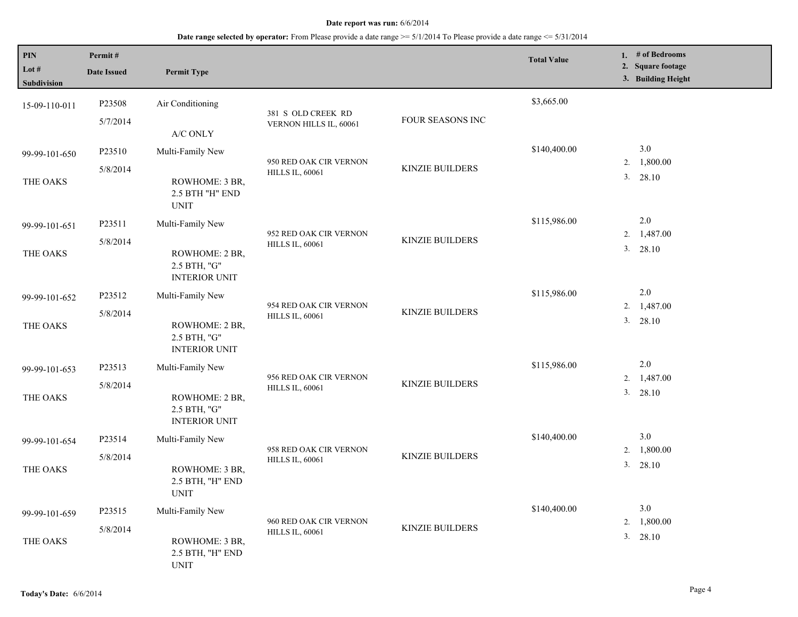| <b>PIN</b><br>Lot $#$<br>Subdivision | Permit#<br><b>Date Issued</b> | <b>Permit Type</b>                                     |                                                  |                        | <b>Total Value</b> |    | 1. # of Bedrooms<br>2. Square footage<br>3. Building Height |
|--------------------------------------|-------------------------------|--------------------------------------------------------|--------------------------------------------------|------------------------|--------------------|----|-------------------------------------------------------------|
| 15-09-110-011                        | P23508                        | Air Conditioning                                       |                                                  |                        | \$3,665.00         |    |                                                             |
|                                      | 5/7/2014                      | A/C ONLY                                               | 381 S OLD CREEK RD<br>VERNON HILLS IL, 60061     | FOUR SEASONS INC       |                    |    |                                                             |
| 99-99-101-650                        | P23510                        | Multi-Family New                                       |                                                  |                        | \$140,400.00       |    | 3.0                                                         |
|                                      | 5/8/2014                      |                                                        | 950 RED OAK CIR VERNON<br><b>HILLS IL, 60061</b> | <b>KINZIE BUILDERS</b> |                    | 2. | 1,800.00                                                    |
| THE OAKS                             |                               | ROWHOME: 3 BR,<br>2.5 BTH "H" END<br><b>UNIT</b>       |                                                  |                        |                    | 3. | 28.10                                                       |
| 99-99-101-651                        | P23511                        | Multi-Family New                                       |                                                  |                        | \$115,986.00       |    | 2.0                                                         |
|                                      | 5/8/2014                      |                                                        | 952 RED OAK CIR VERNON                           | <b>KINZIE BUILDERS</b> |                    |    | 2. 1,487.00                                                 |
| THE OAKS                             |                               | ROWHOME: 2 BR,<br>2.5 BTH, "G"<br><b>INTERIOR UNIT</b> | <b>HILLS IL, 60061</b>                           |                        |                    |    | 3. 28.10                                                    |
| 99-99-101-652                        | P23512                        | Multi-Family New                                       |                                                  |                        | \$115,986.00       |    | 2.0                                                         |
|                                      | 5/8/2014                      |                                                        | 954 RED OAK CIR VERNON                           | <b>KINZIE BUILDERS</b> |                    |    | 2. 1,487.00                                                 |
| THE OAKS                             |                               | ROWHOME: 2 BR,<br>2.5 BTH, "G"<br><b>INTERIOR UNIT</b> | <b>HILLS IL, 60061</b>                           |                        |                    |    | 3. 28.10                                                    |
| 99-99-101-653                        | P23513                        | Multi-Family New                                       |                                                  |                        | \$115,986.00       |    | 2.0                                                         |
|                                      | 5/8/2014                      |                                                        | 956 RED OAK CIR VERNON                           | <b>KINZIE BUILDERS</b> |                    | 2. | 1,487.00                                                    |
| THE OAKS                             |                               | ROWHOME: 2 BR,<br>2.5 BTH, "G"<br><b>INTERIOR UNIT</b> | <b>HILLS IL, 60061</b>                           |                        |                    |    | 3. 28.10                                                    |
| 99-99-101-654                        | P23514                        | Multi-Family New                                       |                                                  |                        | \$140,400.00       |    | 3.0                                                         |
|                                      | 5/8/2014                      |                                                        | 958 RED OAK CIR VERNON                           | <b>KINZIE BUILDERS</b> |                    | 2. | 1,800.00                                                    |
| THE OAKS                             |                               | ROWHOME: 3 BR,<br>2.5 BTH, "H" END<br><b>UNIT</b>      | <b>HILLS IL, 60061</b>                           |                        |                    |    | 3. 28.10                                                    |
| 99-99-101-659                        | P23515                        | Multi-Family New                                       |                                                  |                        | \$140,400.00       |    | 3.0                                                         |
|                                      | 5/8/2014                      |                                                        | 960 RED OAK CIR VERNON<br><b>HILLS IL, 60061</b> | <b>KINZIE BUILDERS</b> |                    | 2. | 1,800.00                                                    |
| THE OAKS                             |                               | ROWHOME: 3 BR,<br>2.5 BTH, "H" END<br><b>UNIT</b>      |                                                  |                        |                    |    | 3. 28.10                                                    |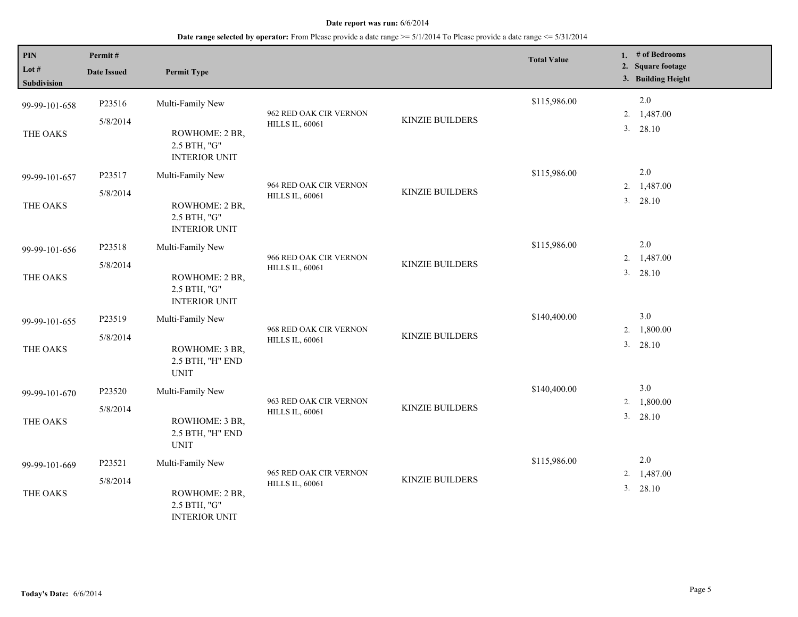| PIN<br>Lot $#$<br>Subdivision | Permit#<br><b>Date Issued</b> | <b>Permit Type</b>                                     |                                                  |                        | <b>Total Value</b> |          | 1. # of Bedrooms<br>2. Square footage<br>3. Building Height |
|-------------------------------|-------------------------------|--------------------------------------------------------|--------------------------------------------------|------------------------|--------------------|----------|-------------------------------------------------------------|
| 99-99-101-658                 | P23516                        | Multi-Family New                                       |                                                  |                        | \$115,986.00       |          | 2.0                                                         |
| THE OAKS                      | 5/8/2014                      | ROWHOME: 2 BR,<br>2.5 BTH, "G"<br><b>INTERIOR UNIT</b> | 962 RED OAK CIR VERNON<br><b>HILLS IL, 60061</b> | <b>KINZIE BUILDERS</b> |                    | 2.<br>3. | 1,487.00<br>28.10                                           |
| 99-99-101-657                 | P23517                        | Multi-Family New                                       |                                                  |                        | \$115,986.00       |          | 2.0                                                         |
| THE OAKS                      | 5/8/2014                      | ROWHOME: 2 BR,<br>2.5 BTH, "G"<br><b>INTERIOR UNIT</b> | 964 RED OAK CIR VERNON<br><b>HILLS IL, 60061</b> | <b>KINZIE BUILDERS</b> |                    | 2.<br>3. | 1,487.00<br>28.10                                           |
| 99-99-101-656                 | P23518                        | Multi-Family New                                       |                                                  |                        | \$115,986.00       |          | 2.0                                                         |
| THE OAKS                      | 5/8/2014                      | ROWHOME: 2 BR,<br>2.5 BTH, "G"<br><b>INTERIOR UNIT</b> | 966 RED OAK CIR VERNON<br><b>HILLS IL, 60061</b> | <b>KINZIE BUILDERS</b> |                    | 2.<br>3. | 1,487.00<br>28.10                                           |
| 99-99-101-655                 | P23519                        | Multi-Family New                                       |                                                  |                        | \$140,400.00       |          | 3.0                                                         |
| THE OAKS                      | 5/8/2014                      | ROWHOME: 3 BR,<br>2.5 BTH, "H" END<br><b>UNIT</b>      | 968 RED OAK CIR VERNON<br><b>HILLS IL, 60061</b> | <b>KINZIE BUILDERS</b> |                    | 2.<br>3. | 1,800.00<br>28.10                                           |
| 99-99-101-670                 | P23520                        | Multi-Family New                                       |                                                  |                        | \$140,400.00       |          | 3.0                                                         |
| THE OAKS                      | 5/8/2014                      | ROWHOME: 3 BR,<br>2.5 BTH, "H" END<br><b>UNIT</b>      | 963 RED OAK CIR VERNON<br><b>HILLS IL, 60061</b> | <b>KINZIE BUILDERS</b> |                    | 2.       | 1,800.00<br>3. 28.10                                        |
| 99-99-101-669                 | P23521                        | Multi-Family New                                       |                                                  |                        | \$115,986.00       |          | 2.0                                                         |
| THE OAKS                      | 5/8/2014                      | ROWHOME: 2 BR,<br>2.5 BTH, "G"<br><b>INTERIOR UNIT</b> | 965 RED OAK CIR VERNON<br><b>HILLS IL, 60061</b> | <b>KINZIE BUILDERS</b> |                    | 2.<br>3. | 1,487.00<br>28.10                                           |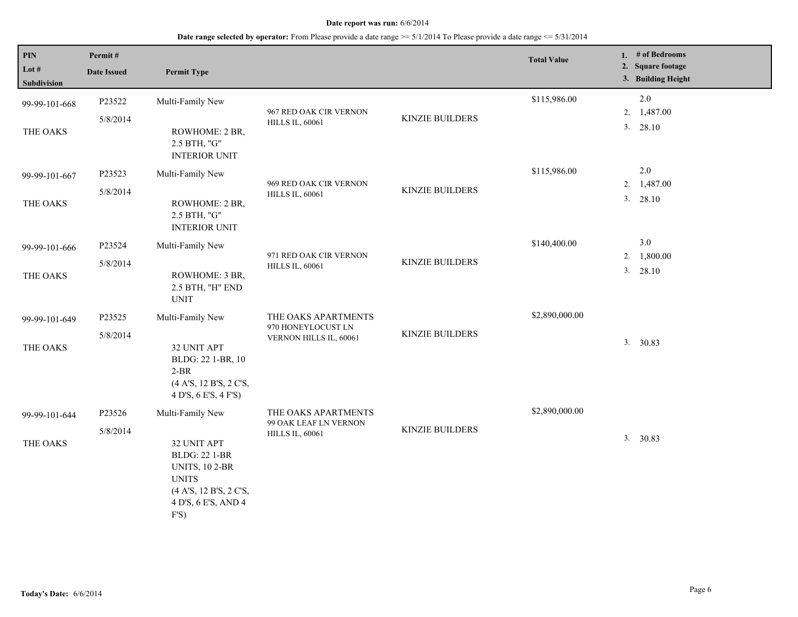| PIN<br>Lot $#$<br>Subdivision | Permit#<br><b>Date Issued</b> | <b>Permit Type</b>                                                                                                                                        |                                                                        |                        | <b>Total Value</b> |          | 1. # of Bedrooms<br>2. Square footage<br>3. Building Height |
|-------------------------------|-------------------------------|-----------------------------------------------------------------------------------------------------------------------------------------------------------|------------------------------------------------------------------------|------------------------|--------------------|----------|-------------------------------------------------------------|
| 99-99-101-668<br>THE OAKS     | P23522<br>5/8/2014            | Multi-Family New<br>ROWHOME: 2 BR,<br>2.5 BTH, "G"                                                                                                        | 967 RED OAK CIR VERNON<br><b>HILLS IL, 60061</b>                       | <b>KINZIE BUILDERS</b> | \$115,986.00       | 2.<br>3. | 2.0<br>1,487.00<br>28.10                                    |
| 99-99-101-667<br>THE OAKS     | P23523<br>5/8/2014            | <b>INTERIOR UNIT</b><br>Multi-Family New<br>ROWHOME: 2 BR,<br>2.5 BTH, "G"<br><b>INTERIOR UNIT</b>                                                        | 969 RED OAK CIR VERNON<br><b>HILLS IL, 60061</b>                       | <b>KINZIE BUILDERS</b> | \$115,986.00       | 2.       | $2.0\,$<br>1,487.00<br>3. 28.10                             |
| 99-99-101-666<br>THE OAKS     | P23524<br>5/8/2014            | Multi-Family New<br>ROWHOME: 3 BR,<br>2.5 BTH, "H" END<br><b>UNIT</b>                                                                                     | 971 RED OAK CIR VERNON<br><b>HILLS IL, 60061</b>                       | <b>KINZIE BUILDERS</b> | \$140,400.00       | 2.<br>3. | 3.0<br>1,800.00<br>28.10                                    |
| 99-99-101-649<br>THE OAKS     | P23525<br>5/8/2014            | Multi-Family New<br>32 UNIT APT<br>BLDG: 22 1-BR, 10<br>$2-BR$<br>(4 A'S, 12 B'S, 2 C'S,<br>4 D'S, 6 E'S, 4 F'S)                                          | THE OAKS APARTMENTS<br>970 HONEYLOCUST LN<br>VERNON HILLS IL, 60061    | <b>KINZIE BUILDERS</b> | \$2,890,000.00     |          | 3. 30.83                                                    |
| 99-99-101-644<br>THE OAKS     | P23526<br>5/8/2014            | Multi-Family New<br>32 UNIT APT<br><b>BLDG: 22 1-BR</b><br><b>UNITS, 10 2-BR</b><br><b>UNITS</b><br>(4 A'S, 12 B'S, 2 C'S,<br>4 D'S, 6 E'S, AND 4<br>F'S) | THE OAKS APARTMENTS<br>99 OAK LEAF LN VERNON<br><b>HILLS IL, 60061</b> | <b>KINZIE BUILDERS</b> | \$2,890,000.00     |          | 3. 30.83                                                    |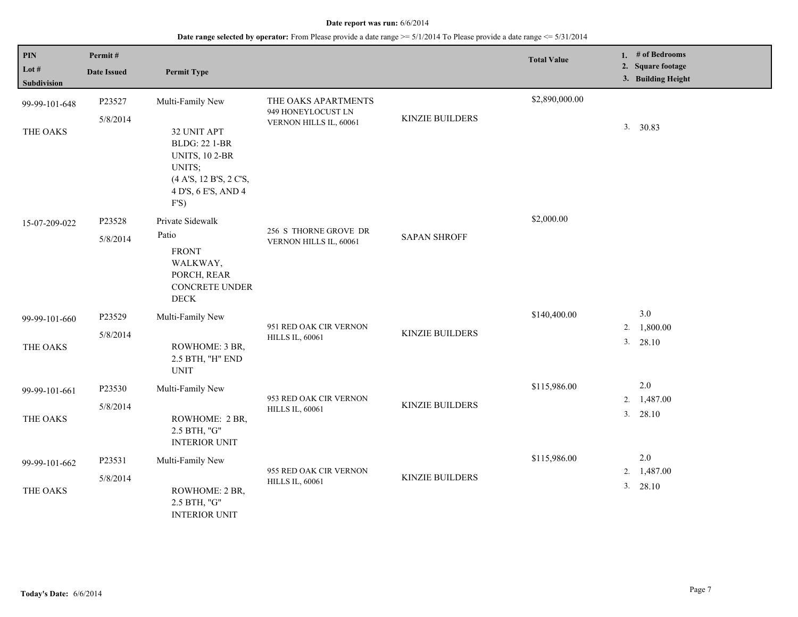| PIN<br>Lot #<br>Subdivision | Permit#<br><b>Date Issued</b> | <b>Permit Type</b>                                                                                                              |                                                  |                        | <b>Total Value</b> |    | 1. $#$ of Bedrooms<br>2. Square footage<br>3. Building Height |
|-----------------------------|-------------------------------|---------------------------------------------------------------------------------------------------------------------------------|--------------------------------------------------|------------------------|--------------------|----|---------------------------------------------------------------|
| 99-99-101-648               | P23527                        | Multi-Family New                                                                                                                | THE OAKS APARTMENTS<br>949 HONEYLOCUST LN        |                        | \$2,890,000.00     |    |                                                               |
| THE OAKS                    | 5/8/2014                      | 32 UNIT APT<br><b>BLDG: 22 1-BR</b><br><b>UNITS, 10 2-BR</b><br>UNITS;<br>(4 A'S, 12 B'S, 2 C'S,<br>4 D'S, 6 E'S, AND 4<br>F'S) | VERNON HILLS IL, 60061                           | <b>KINZIE BUILDERS</b> |                    |    | 3. 30.83                                                      |
| 15-07-209-022               | P23528<br>5/8/2014            | Private Sidewalk<br>Patio<br><b>FRONT</b><br>WALKWAY,<br>PORCH, REAR<br>CONCRETE UNDER<br><b>DECK</b>                           | 256 S THORNE GROVE DR<br>VERNON HILLS IL, 60061  | <b>SAPAN SHROFF</b>    | \$2,000.00         |    |                                                               |
| 99-99-101-660               | P23529                        | Multi-Family New                                                                                                                | 951 RED OAK CIR VERNON                           |                        | \$140,400.00       | 2. | 3.0<br>1,800.00                                               |
| THE OAKS                    | 5/8/2014                      | ROWHOME: 3 BR,<br>2.5 BTH, "H" END<br><b>UNIT</b>                                                                               | <b>HILLS IL, 60061</b>                           | <b>KINZIE BUILDERS</b> |                    |    | 3. 28.10                                                      |
| 99-99-101-661               | P23530                        | Multi-Family New                                                                                                                |                                                  |                        | \$115,986.00       | 2. | 2.0<br>1,487.00                                               |
| THE OAKS                    | 5/8/2014                      | ROWHOME: 2 BR,<br>2.5 BTH, "G"<br><b>INTERIOR UNIT</b>                                                                          | 953 RED OAK CIR VERNON<br><b>HILLS IL, 60061</b> | <b>KINZIE BUILDERS</b> |                    |    | 3. 28.10                                                      |
| 99-99-101-662               | P23531                        | Multi-Family New                                                                                                                |                                                  |                        | \$115,986.00       |    | 2.0                                                           |
| THE OAKS                    | 5/8/2014                      | ROWHOME: 2 BR,<br>2.5 BTH, "G"<br><b>INTERIOR UNIT</b>                                                                          | 955 RED OAK CIR VERNON<br><b>HILLS IL, 60061</b> | <b>KINZIE BUILDERS</b> |                    | 2. | 1,487.00<br>3. 28.10                                          |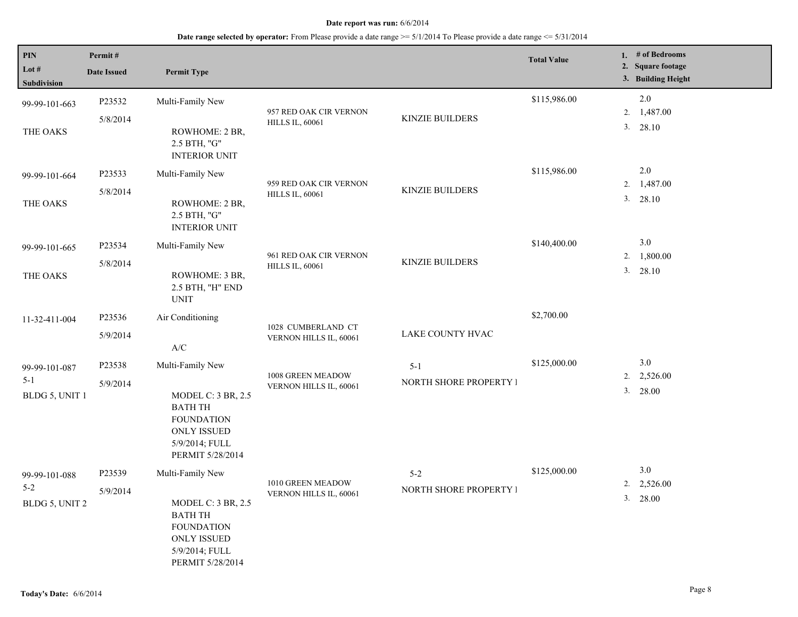| $\overline{PIN}$<br>Lot $#$<br>Subdivision | Permit#<br><b>Date Issued</b> | <b>Permit Type</b>                                                                                                                               |                                                  |                                   | <b>Total Value</b> |          | 1. # of Bedrooms<br>2. Square footage<br>3. Building Height |
|--------------------------------------------|-------------------------------|--------------------------------------------------------------------------------------------------------------------------------------------------|--------------------------------------------------|-----------------------------------|--------------------|----------|-------------------------------------------------------------|
| 99-99-101-663<br>THE OAKS                  | P23532<br>5/8/2014            | Multi-Family New<br>ROWHOME: 2 BR,<br>2.5 BTH, "G"<br><b>INTERIOR UNIT</b>                                                                       | 957 RED OAK CIR VERNON<br><b>HILLS IL, 60061</b> | <b>KINZIE BUILDERS</b>            | \$115,986.00       | 2.<br>3. | $2.0\,$<br>1,487.00<br>28.10                                |
| 99-99-101-664<br>THE OAKS                  | P23533<br>5/8/2014            | Multi-Family New<br>ROWHOME: 2 BR,<br>2.5 BTH, "G"<br><b>INTERIOR UNIT</b>                                                                       | 959 RED OAK CIR VERNON<br><b>HILLS IL, 60061</b> | <b>KINZIE BUILDERS</b>            | \$115,986.00       | 2.       | 2.0<br>1,487.00<br>3. 28.10                                 |
| 99-99-101-665<br>THE OAKS                  | P23534<br>5/8/2014            | Multi-Family New<br>ROWHOME: 3 BR,<br>2.5 BTH, "H" END<br><b>UNIT</b>                                                                            | 961 RED OAK CIR VERNON<br><b>HILLS IL, 60061</b> | KINZIE BUILDERS                   | \$140,400.00       | 2.<br>3. | 3.0<br>1,800.00<br>28.10                                    |
| 11-32-411-004                              | P23536<br>5/9/2014            | Air Conditioning<br>$\ensuremath{\mathsf{A}}\xspace/\ensuremath{\mathsf{C}}\xspace$                                                              | 1028 CUMBERLAND CT<br>VERNON HILLS IL, 60061     | LAKE COUNTY HVAC                  | \$2,700.00         |          |                                                             |
| 99-99-101-087<br>$5 - 1$<br>BLDG 5, UNIT 1 | P23538<br>5/9/2014            | Multi-Family New<br><b>MODEL C: 3 BR, 2.5</b><br><b>BATH TH</b><br><b>FOUNDATION</b><br><b>ONLY ISSUED</b><br>5/9/2014; FULL<br>PERMIT 5/28/2014 | 1008 GREEN MEADOW<br>VERNON HILLS IL, 60061      | $5 - 1$<br>NORTH SHORE PROPERTY I | \$125,000.00       |          | 3.0<br>$2. \quad 2,526.00$<br>3. 28.00                      |
| 99-99-101-088<br>$5 - 2$<br>BLDG 5, UNIT 2 | P23539<br>5/9/2014            | Multi-Family New<br>MODEL C: $3 BR$ , $2.5$<br><b>BATH TH</b><br><b>FOUNDATION</b><br><b>ONLY ISSUED</b><br>5/9/2014; FULL<br>PERMIT 5/28/2014   | 1010 GREEN MEADOW<br>VERNON HILLS IL, 60061      | $5 - 2$<br>NORTH SHORE PROPERTY I | \$125,000.00       | 2.<br>3. | 3.0<br>2,526.00<br>28.00                                    |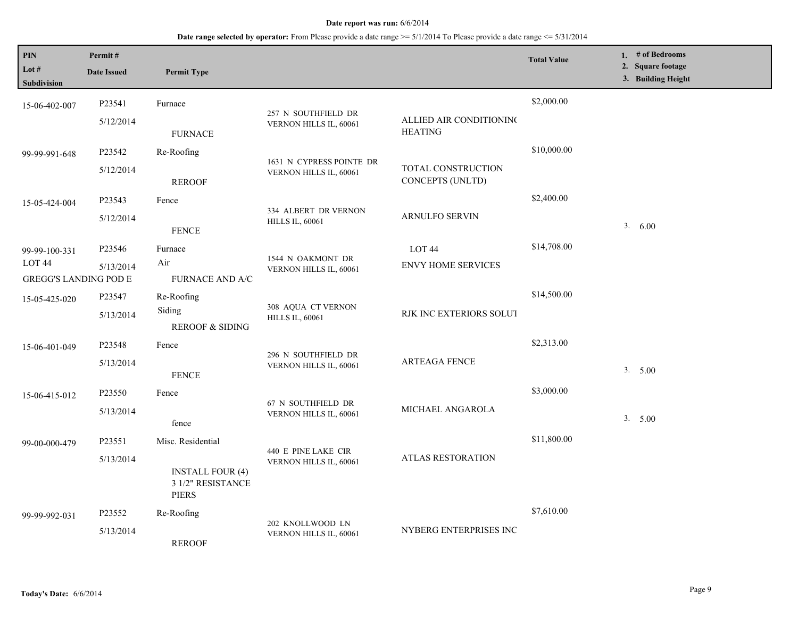| <b>PIN</b><br>Lot $#$<br>Subdivision   | Permit#<br><b>Date Issued</b> | <b>Permit Type</b>                                           |                                                |                                        | <b>Total Value</b> | 1. # of Bedrooms<br>2. Square footage<br>3. Building Height |
|----------------------------------------|-------------------------------|--------------------------------------------------------------|------------------------------------------------|----------------------------------------|--------------------|-------------------------------------------------------------|
| 15-06-402-007                          | P23541<br>5/12/2014           | Furnace                                                      | 257 N SOUTHFIELD DR                            | ALLIED AIR CONDITIONING                | \$2,000.00         |                                                             |
|                                        |                               | <b>FURNACE</b>                                               | VERNON HILLS IL, 60061                         | <b>HEATING</b>                         |                    |                                                             |
| 99-99-991-648                          | P23542                        | Re-Roofing                                                   | 1631 N CYPRESS POINTE DR                       |                                        | \$10,000.00        |                                                             |
|                                        | 5/12/2014                     | <b>REROOF</b>                                                | VERNON HILLS IL, 60061                         | TOTAL CONSTRUCTION<br>CONCEPTS (UNLTD) |                    |                                                             |
| 15-05-424-004                          | P23543                        | Fence                                                        |                                                |                                        | \$2,400.00         |                                                             |
|                                        | 5/12/2014                     | <b>FENCE</b>                                                 | 334 ALBERT DR VERNON<br><b>HILLS IL, 60061</b> | ARNULFO SERVIN                         |                    | 3.600                                                       |
| 99-99-100-331                          | P23546                        | Furnace                                                      |                                                | LOT <sub>44</sub>                      | \$14,708.00        |                                                             |
| LOT 44<br><b>GREGG'S LANDING POD E</b> | 5/13/2014                     | Air<br><b>FURNACE AND A/C</b>                                | 1544 N OAKMONT DR<br>VERNON HILLS IL, 60061    | <b>ENVY HOME SERVICES</b>              |                    |                                                             |
| 15-05-425-020                          | P23547                        | Re-Roofing                                                   |                                                |                                        | \$14,500.00        |                                                             |
|                                        | 5/13/2014                     | Siding<br><b>REROOF &amp; SIDING</b>                         | 308 AQUA CT VERNON<br><b>HILLS IL, 60061</b>   | RJK INC EXTERIORS SOLUT                |                    |                                                             |
| 15-06-401-049                          | P23548                        | Fence                                                        |                                                |                                        | \$2,313.00         |                                                             |
|                                        | 5/13/2014                     | <b>FENCE</b>                                                 | 296 N SOUTHFIELD DR<br>VERNON HILLS IL, 60061  | <b>ARTEAGA FENCE</b>                   |                    | 3. 5.00                                                     |
| 15-06-415-012                          | P23550                        | Fence                                                        | 67 N SOUTHFIELD DR                             |                                        | \$3,000.00         |                                                             |
|                                        | 5/13/2014                     | fence                                                        | VERNON HILLS IL, 60061                         | MICHAEL ANGAROLA                       |                    | 3. 5.00                                                     |
| 99-00-000-479                          | P23551                        | Misc. Residential                                            | 440 E PINE LAKE CIR                            |                                        | \$11,800.00        |                                                             |
|                                        | 5/13/2014                     | <b>INSTALL FOUR (4)</b><br>3 1/2" RESISTANCE<br><b>PIERS</b> | VERNON HILLS IL, 60061                         | <b>ATLAS RESTORATION</b>               |                    |                                                             |
| 99-99-992-031                          | P23552                        | Re-Roofing                                                   |                                                |                                        | \$7,610.00         |                                                             |
|                                        | 5/13/2014                     | <b>REROOF</b>                                                | 202 KNOLLWOOD LN<br>VERNON HILLS IL, 60061     | NYBERG ENTERPRISES INC                 |                    |                                                             |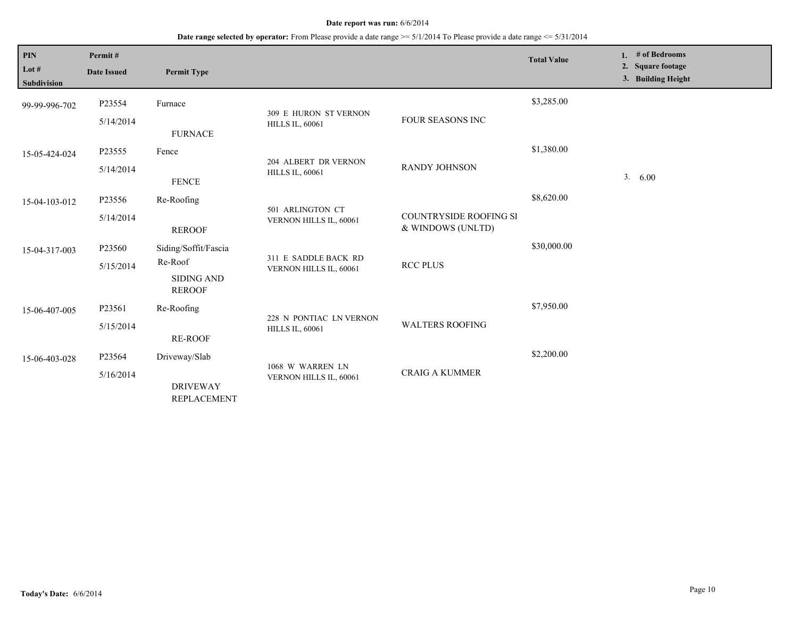| <b>PIN</b><br>Lot $#$<br><b>Subdivision</b> | Permit#<br><b>Date Issued</b> | <b>Permit Type</b>                    |                                                 |                                                    | <b>Total Value</b> | 1. | # of Bedrooms<br>2. Square footage<br>3. Building Height |
|---------------------------------------------|-------------------------------|---------------------------------------|-------------------------------------------------|----------------------------------------------------|--------------------|----|----------------------------------------------------------|
| 99-99-996-702                               | P23554                        | Furnace                               |                                                 |                                                    | \$3,285.00         |    |                                                          |
|                                             | 5/14/2014                     | <b>FURNACE</b>                        | 309 E HURON ST VERNON<br><b>HILLS IL, 60061</b> | <b>FOUR SEASONS INC</b>                            |                    |    |                                                          |
| P23555<br>15-05-424-024                     |                               | Fence                                 |                                                 | <b>RANDY JOHNSON</b>                               | \$1,380.00         |    |                                                          |
|                                             | 5/14/2014                     | <b>FENCE</b>                          | 204 ALBERT DR VERNON<br><b>HILLS IL, 60061</b>  |                                                    |                    |    | 3. 6.00                                                  |
| 15-04-103-012                               | P23556                        | Re-Roofing                            |                                                 |                                                    | \$8,620.00         |    |                                                          |
|                                             | 5/14/2014                     | <b>REROOF</b>                         | 501 ARLINGTON CT<br>VERNON HILLS IL, 60061      | <b>COUNTRYSIDE ROOFING SI</b><br>& WINDOWS (UNLTD) |                    |    |                                                          |
| 15-04-317-003                               | P23560                        | Siding/Soffit/Fascia                  |                                                 |                                                    | \$30,000.00        |    |                                                          |
|                                             | 5/15/2014                     | Re-Roof                               | 311 E SADDLE BACK RD<br>VERNON HILLS IL, 60061  | <b>RCC PLUS</b>                                    |                    |    |                                                          |
|                                             |                               | <b>SIDING AND</b><br><b>REROOF</b>    |                                                 |                                                    |                    |    |                                                          |
| 15-06-407-005                               | P23561                        | Re-Roofing                            | 228 N PONTIAC LN VERNON                         |                                                    | \$7,950.00         |    |                                                          |
|                                             | 5/15/2014                     | <b>RE-ROOF</b>                        | <b>HILLS IL, 60061</b>                          | <b>WALTERS ROOFING</b>                             |                    |    |                                                          |
| 15-06-403-028                               | P23564                        | Driveway/Slab                         |                                                 |                                                    | \$2,200.00         |    |                                                          |
|                                             | 5/16/2014                     | <b>DRIVEWAY</b><br><b>REPLACEMENT</b> | 1068 W WARREN LN<br>VERNON HILLS IL, 60061      | <b>CRAIG A KUMMER</b>                              |                    |    |                                                          |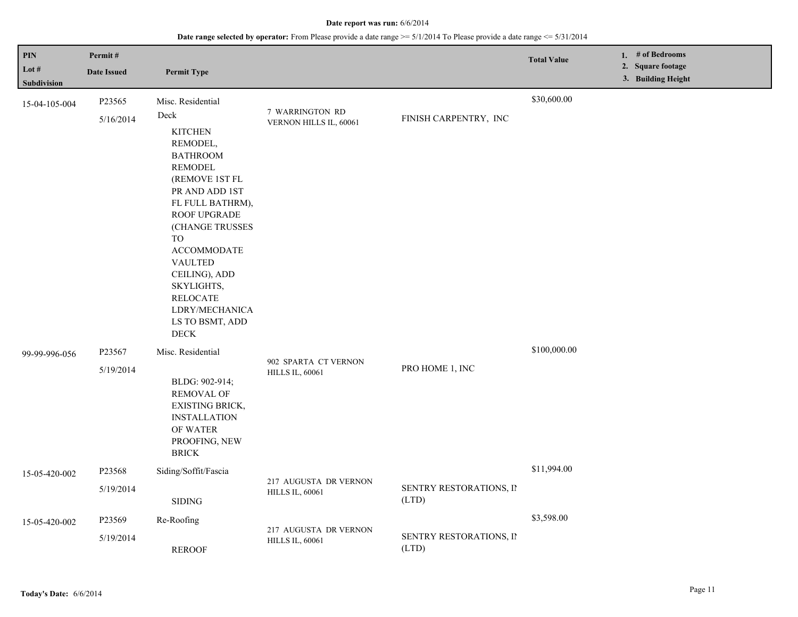| PIN<br>Lot $#$                      | Permit#<br><b>Date Issued</b> | <b>Permit Type</b>                                                                                                                                                                                                                                                                                               |                                                 |                                  | <b>Total Value</b> | 1. # of Bedrooms<br>2. Square footage |  |
|-------------------------------------|-------------------------------|------------------------------------------------------------------------------------------------------------------------------------------------------------------------------------------------------------------------------------------------------------------------------------------------------------------|-------------------------------------------------|----------------------------------|--------------------|---------------------------------------|--|
| <b>Subdivision</b><br>15-04-105-004 | P23565<br>5/16/2014           | Misc. Residential<br>Deck<br><b>KITCHEN</b><br>REMODEL,<br><b>BATHROOM</b><br><b>REMODEL</b><br>(REMOVE 1ST FL<br>PR AND ADD 1ST<br>FL FULL BATHRM),<br>ROOF UPGRADE<br>(CHANGE TRUSSES<br><b>TO</b><br><b>ACCOMMODATE</b><br><b>VAULTED</b><br>CEILING), ADD<br>SKYLIGHTS,<br><b>RELOCATE</b><br>LDRY/MECHANICA | 7 WARRINGTON RD<br>VERNON HILLS IL, 60061       | FINISH CARPENTRY, INC            | \$30,600.00        | 3. Building Height                    |  |
| 99-99-996-056                       | P23567<br>5/19/2014           | LS TO BSMT, ADD<br><b>DECK</b><br>Misc. Residential<br>BLDG: 902-914;<br><b>REMOVAL OF</b><br>EXISTING BRICK,<br><b>INSTALLATION</b><br>OF WATER<br>PROOFING, NEW<br><b>BRICK</b>                                                                                                                                | 902 SPARTA CT VERNON<br><b>HILLS IL, 60061</b>  | PRO HOME 1, INC                  | \$100,000.00       |                                       |  |
| 15-05-420-002                       | P23568<br>5/19/2014           | Siding/Soffit/Fascia<br><b>SIDING</b>                                                                                                                                                                                                                                                                            | 217 AUGUSTA DR VERNON<br><b>HILLS IL, 60061</b> | SENTRY RESTORATIONS, II<br>(LTD) | \$11,994.00        |                                       |  |
| 15-05-420-002                       | P23569<br>5/19/2014           | Re-Roofing<br><b>REROOF</b>                                                                                                                                                                                                                                                                                      | 217 AUGUSTA DR VERNON<br><b>HILLS IL, 60061</b> | SENTRY RESTORATIONS, II<br>(LTD) | \$3,598.00         |                                       |  |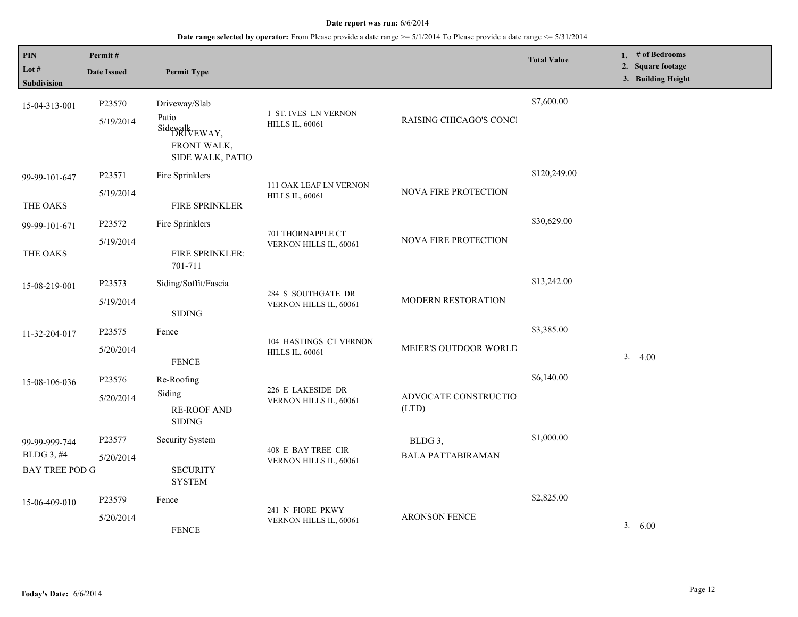| PIN<br>Lot $#$<br><b>Subdivision</b>                 | Permit#<br><b>Date Issued</b> | <b>Permit Type</b>                                                                 |                                                  |                                     | <b>Total Value</b> | 1. $#$ of Bedrooms<br>2. Square footage<br>3. Building Height |
|------------------------------------------------------|-------------------------------|------------------------------------------------------------------------------------|--------------------------------------------------|-------------------------------------|--------------------|---------------------------------------------------------------|
| 15-04-313-001                                        | P23570<br>5/19/2014           | Driveway/Slab<br>Patio<br>Sidewalk<br>DRIVEWAY,<br>FRONT WALK,<br>SIDE WALK, PATIO | 1 ST. IVES LN VERNON<br><b>HILLS IL, 60061</b>   | RAISING CHICAGO'S CONCI             | \$7,600.00         |                                                               |
| 99-99-101-647<br>THE OAKS                            | P23571<br>5/19/2014           | Fire Sprinklers<br>FIRE SPRINKLER                                                  | 111 OAK LEAF LN VERNON<br><b>HILLS IL, 60061</b> | NOVA FIRE PROTECTION                | \$120,249.00       |                                                               |
| 99-99-101-671<br>THE OAKS                            | P23572<br>5/19/2014           | Fire Sprinklers<br>FIRE SPRINKLER:                                                 | 701 THORNAPPLE CT<br>VERNON HILLS IL, 60061      | NOVA FIRE PROTECTION                | \$30,629.00        |                                                               |
| 15-08-219-001                                        | P23573<br>5/19/2014           | 701-711<br>Siding/Soffit/Fascia<br><b>SIDING</b>                                   | 284 S SOUTHGATE DR<br>VERNON HILLS IL, 60061     | MODERN RESTORATION                  | \$13,242.00        |                                                               |
| 11-32-204-017                                        | P23575<br>5/20/2014           | Fence<br><b>FENCE</b>                                                              | 104 HASTINGS CT VERNON<br><b>HILLS IL, 60061</b> | MEIER'S OUTDOOR WORLD               | \$3,385.00         | 3.4.00                                                        |
| 15-08-106-036                                        | P23576<br>5/20/2014           | Re-Roofing<br>Siding<br><b>RE-ROOF AND</b><br><b>SIDING</b>                        | 226 E LAKESIDE DR<br>VERNON HILLS IL, 60061      | ADVOCATE CONSTRUCTIO<br>(LTD)       | \$6,140.00         |                                                               |
| 99-99-999-744<br>BLDG 3, #4<br><b>BAY TREE POD G</b> | P23577<br>5/20/2014           | Security System<br><b>SECURITY</b><br><b>SYSTEM</b>                                | 408 E BAY TREE CIR<br>VERNON HILLS IL, 60061     | BLDG 3,<br><b>BALA PATTABIRAMAN</b> | \$1,000.00         |                                                               |
| 15-06-409-010                                        | P23579<br>5/20/2014           | Fence<br><b>FENCE</b>                                                              | 241 N FIORE PKWY<br>VERNON HILLS IL, 60061       | <b>ARONSON FENCE</b>                | \$2,825.00         | 3.600                                                         |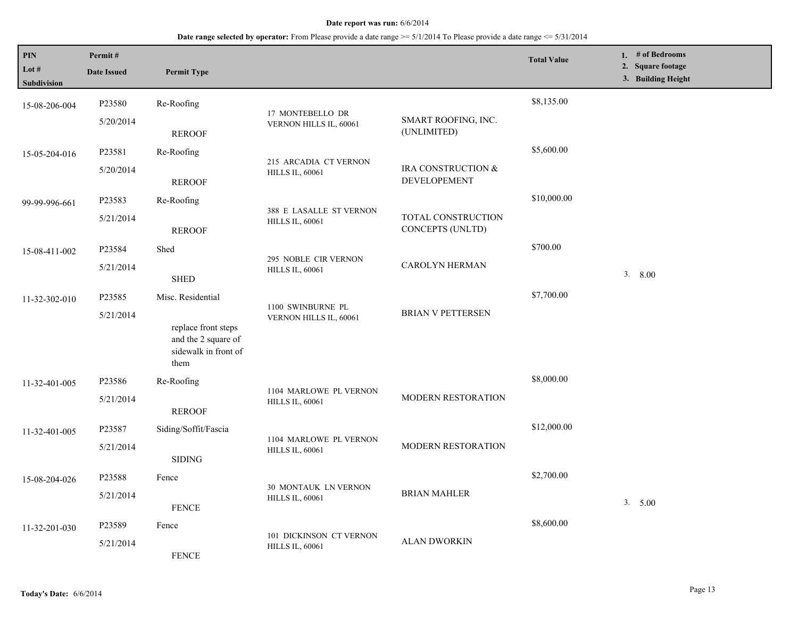| PIN<br>Lot $#$<br><b>Subdivision</b> | Permit#<br><b>Date Issued</b>                                | <b>Permit Type</b>                                                         |                                                |                                        | <b>Total Value</b> | 1. # of Bedrooms<br>2. Square footage<br>3. Building Height |
|--------------------------------------|--------------------------------------------------------------|----------------------------------------------------------------------------|------------------------------------------------|----------------------------------------|--------------------|-------------------------------------------------------------|
| 15-08-206-004                        | P23580                                                       | Re-Roofing                                                                 | 17 MONTEBELLO DR                               |                                        | \$8,135.00         |                                                             |
|                                      | 5/20/2014                                                    | <b>REROOF</b>                                                              | VERNON HILLS IL, 60061                         | SMART ROOFING, INC.<br>(UNLIMITED)     |                    |                                                             |
| 15-05-204-016                        | P23581                                                       | Re-Roofing                                                                 | 215 ARCADIA CT VERNON                          |                                        | \$5,600.00         |                                                             |
|                                      | 5/20/2014                                                    | <b>REROOF</b>                                                              | <b>HILLS IL, 60061</b>                         | IRA CONSTRUCTION &<br>DEVELOPEMENT     |                    |                                                             |
| 99-99-996-661                        | P23583                                                       | Re-Roofing                                                                 | 388 E LASALLE ST VERNON                        |                                        | \$10,000.00        |                                                             |
|                                      | 5/21/2014                                                    | <b>REROOF</b>                                                              | <b>HILLS IL, 60061</b>                         | TOTAL CONSTRUCTION<br>CONCEPTS (UNLTD) |                    |                                                             |
| 15-08-411-002                        | P23584                                                       | Shed                                                                       | 295 NOBLE CIR VERNON<br><b>HILLS IL, 60061</b> | CAROLYN HERMAN                         | \$700.00           |                                                             |
|                                      | 5/21/2014                                                    | <b>SHED</b>                                                                |                                                |                                        |                    | 3.800                                                       |
| 11-32-302-010                        | P23585                                                       | Misc. Residential                                                          |                                                |                                        | \$7,700.00         |                                                             |
|                                      | 5/21/2014                                                    | replace front steps<br>and the 2 square of<br>sidewalk in front of<br>them | 1100 SWINBURNE PL<br>VERNON HILLS IL, 60061    | <b>BRIAN V PETTERSEN</b>               |                    |                                                             |
| 11-32-401-005                        | P23586                                                       | Re-Roofing                                                                 | 1104 MARLOWE PL VERNON                         |                                        | \$8,000.00         |                                                             |
|                                      | 5/21/2014<br><b>REROOF</b>                                   | MODERN RESTORATION<br><b>HILLS IL, 60061</b>                               |                                                |                                        |                    |                                                             |
| 11-32-401-005                        | P23587<br>Siding/Soffit/Fascia<br>5/21/2014<br><b>SIDING</b> | 1104 MARLOWE PL VERNON<br>MODERN RESTORATION<br><b>HILLS IL, 60061</b>     |                                                | \$12,000.00                            |                    |                                                             |
|                                      |                                                              |                                                                            |                                                |                                        |                    |                                                             |
| 15-08-204-026                        | P23588                                                       | Fence                                                                      | 30 MONTAUK LN VERNON                           |                                        | \$2,700.00         |                                                             |
|                                      | 5/21/2014                                                    | <b>FENCE</b>                                                               | <b>HILLS IL, 60061</b>                         | <b>BRIAN MAHLER</b>                    | 3. 5.00            |                                                             |
| 11-32-201-030                        | P23589                                                       | Fence                                                                      | 101 DICKINSON CT VERNON                        |                                        | \$8,600.00         |                                                             |
|                                      | 5/21/2014                                                    | <b>FENCE</b>                                                               | <b>HILLS IL, 60061</b>                         | <b>ALAN DWORKIN</b>                    |                    |                                                             |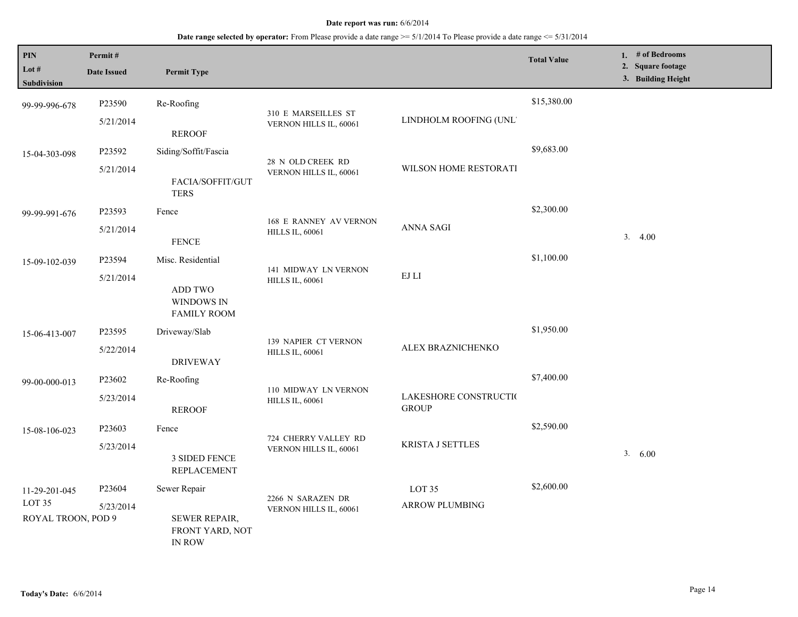| <b>PIN</b><br>Lot #<br><b>Subdivision</b> | Permit#<br><b>Date Issued</b> | <b>Permit Type</b>                                |                                                                                         |                                                   | <b>Total Value</b> | 1. # of Bedrooms<br>2. Square footage<br>3. Building Height |
|-------------------------------------------|-------------------------------|---------------------------------------------------|-----------------------------------------------------------------------------------------|---------------------------------------------------|--------------------|-------------------------------------------------------------|
| 99-99-996-678                             | P23590                        | Re-Roofing                                        |                                                                                         |                                                   | \$15,380.00        |                                                             |
|                                           | 5/21/2014                     | <b>REROOF</b>                                     | 310 E MARSEILLES ST<br>VERNON HILLS IL, 60061                                           | LINDHOLM ROOFING (UNL'                            |                    |                                                             |
| 15-04-303-098                             | P23592                        | Siding/Soffit/Fascia                              | 28 N OLD CREEK RD<br>WILSON HOME RESTORATI<br>VERNON HILLS IL, 60061                    | \$9,683.00                                        |                    |                                                             |
|                                           | 5/21/2014<br><b>TERS</b>      | FACIA/SOFFIT/GUT                                  |                                                                                         |                                                   |                    |                                                             |
| 99-99-991-676                             | P23593                        | Fence                                             | <b>168 E RANNEY AV VERNON</b><br><b>HILLS IL, 60061</b>                                 |                                                   | \$2,300.00         |                                                             |
|                                           | 5/21/2014                     | <b>FENCE</b>                                      |                                                                                         | <b>ANNA SAGI</b>                                  |                    | 3.4.00                                                      |
| 15-09-102-039                             | P23594                        | Misc. Residential                                 |                                                                                         |                                                   | \$1,100.00         |                                                             |
|                                           | 5/21/2014                     | ADD TWO<br>WINDOWS IN<br><b>FAMILY ROOM</b>       | 141 MIDWAY LN VERNON<br><b>HILLS IL, 60061</b>                                          | $\mathop{\hbox{\rm EJ}}$ $\mathop{\hbox{\rm LI}}$ |                    |                                                             |
| 15-06-413-007                             | P23595                        | Driveway/Slab                                     |                                                                                         |                                                   | \$1,950.00         |                                                             |
|                                           | 5/22/2014                     | <b>DRIVEWAY</b>                                   | 139 NAPIER CT VERNON<br><b>HILLS IL, 60061</b>                                          | ALEX BRAZNICHENKO                                 |                    |                                                             |
| 99-00-000-013                             | P23602                        | Re-Roofing                                        |                                                                                         |                                                   | \$7,400.00         |                                                             |
|                                           | 5/23/2014                     | <b>REROOF</b>                                     | 110 MIDWAY LN VERNON<br>LAKESHORE CONSTRUCTIO<br><b>HILLS IL, 60061</b><br><b>GROUP</b> |                                                   |                    |                                                             |
| 15-08-106-023                             | P23603                        | Fence                                             |                                                                                         |                                                   | \$2,590.00         |                                                             |
|                                           | 5/23/2014                     | <b>3 SIDED FENCE</b><br><b>REPLACEMENT</b>        | 724 CHERRY VALLEY RD<br><b>KRISTA J SETTLES</b><br>VERNON HILLS IL, 60061               | 3. 6.00                                           |                    |                                                             |
| 11-29-201-045                             | P23604                        | Sewer Repair                                      |                                                                                         | LOT <sub>35</sub>                                 | \$2,600.00         |                                                             |
| LOT <sub>35</sub>                         | 5/23/2014                     |                                                   | 2266 N SARAZEN DR<br>VERNON HILLS IL, 60061                                             | <b>ARROW PLUMBING</b>                             |                    |                                                             |
| ROYAL TROON, POD 9                        |                               | SEWER REPAIR,<br>FRONT YARD, NOT<br><b>IN ROW</b> |                                                                                         |                                                   |                    |                                                             |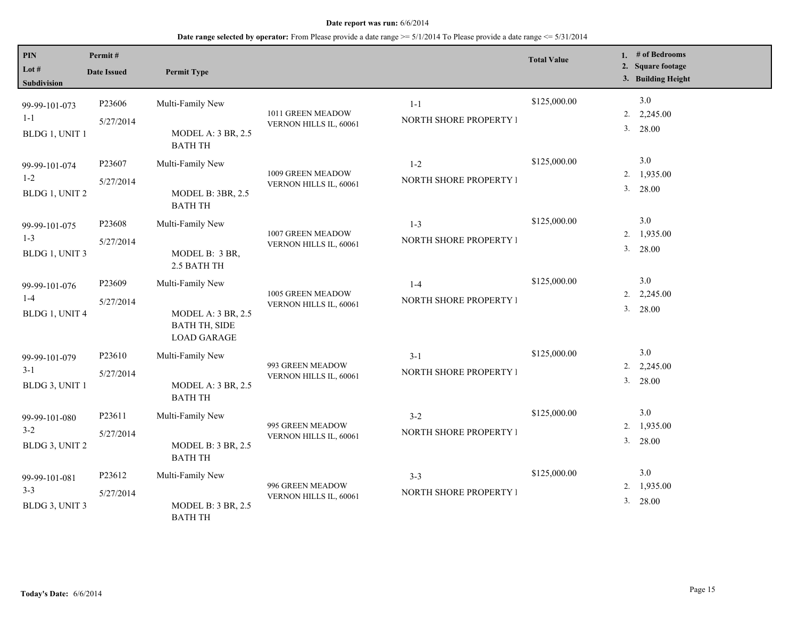| <b>PIN</b><br>Lot $#$<br>Subdivision       | Permit#<br><b>Date Issued</b> | <b>Permit Type</b>                                                                          |                                             |                                   | <b>Total Value</b> | 1. # of Bedrooms<br>2. Square footage<br>3. Building Height |
|--------------------------------------------|-------------------------------|---------------------------------------------------------------------------------------------|---------------------------------------------|-----------------------------------|--------------------|-------------------------------------------------------------|
| 99-99-101-073<br>$1 - 1$<br>BLDG 1, UNIT 1 | P23606<br>5/27/2014           | Multi-Family New<br><b>MODEL A: 3 BR, 2.5</b><br><b>BATH TH</b>                             | 1011 GREEN MEADOW<br>VERNON HILLS IL, 60061 | $1 - 1$<br>NORTH SHORE PROPERTY I | \$125,000.00       | 3.0<br>$2. \quad 2,245.00$<br>3. 28.00                      |
| 99-99-101-074<br>$1 - 2$<br>BLDG 1, UNIT 2 | P23607<br>5/27/2014           | Multi-Family New<br><b>MODEL B: 3BR, 2.5</b><br><b>BATH TH</b>                              | 1009 GREEN MEADOW<br>VERNON HILLS IL, 60061 | $1 - 2$<br>NORTH SHORE PROPERTY I | \$125,000.00       | 3.0<br>2. 1,935.00<br>3. 28.00                              |
| 99-99-101-075<br>$1 - 3$<br>BLDG 1, UNIT 3 | P23608<br>5/27/2014           | Multi-Family New<br>MODEL B: 3 BR,<br>2.5 BATH TH                                           | 1007 GREEN MEADOW<br>VERNON HILLS IL, 60061 | $1 - 3$<br>NORTH SHORE PROPERTY I | \$125,000.00       | 3.0<br>2. 1,935.00<br>3. 28.00                              |
| 99-99-101-076<br>$1 - 4$<br>BLDG 1, UNIT 4 | P23609<br>5/27/2014           | Multi-Family New<br><b>MODEL A: 3 BR, 2.5</b><br><b>BATH TH, SIDE</b><br><b>LOAD GARAGE</b> | 1005 GREEN MEADOW<br>VERNON HILLS IL, 60061 | $1 - 4$<br>NORTH SHORE PROPERTY I | \$125,000.00       | 3.0<br>2. $2,245.00$<br>3. 28.00                            |
| 99-99-101-079<br>$3 - 1$<br>BLDG 3, UNIT 1 | P23610<br>5/27/2014           | Multi-Family New<br><b>MODEL A: 3 BR, 2.5</b><br><b>BATH TH</b>                             | 993 GREEN MEADOW<br>VERNON HILLS IL, 60061  | $3-1$<br>NORTH SHORE PROPERTY I   | \$125,000.00       | 3.0<br>$2. \quad 2,245.00$<br>3. 28.00                      |
| 99-99-101-080<br>$3 - 2$<br>BLDG 3, UNIT 2 | P23611<br>5/27/2014           | Multi-Family New<br><b>MODEL B: 3 BR, 2.5</b><br><b>BATH TH</b>                             | 995 GREEN MEADOW<br>VERNON HILLS IL, 60061  | $3 - 2$<br>NORTH SHORE PROPERTY I | \$125,000.00       | 3.0<br>2. 1,935.00<br>3. 28.00                              |
| 99-99-101-081<br>$3 - 3$<br>BLDG 3, UNIT 3 | P23612<br>5/27/2014           | Multi-Family New<br><b>MODEL B: 3 BR, 2.5</b><br><b>BATH TH</b>                             | 996 GREEN MEADOW<br>VERNON HILLS IL, 60061  | $3 - 3$<br>NORTH SHORE PROPERTY I | \$125,000.00       | 3.0<br>2. 1,935.00<br>3. 28.00                              |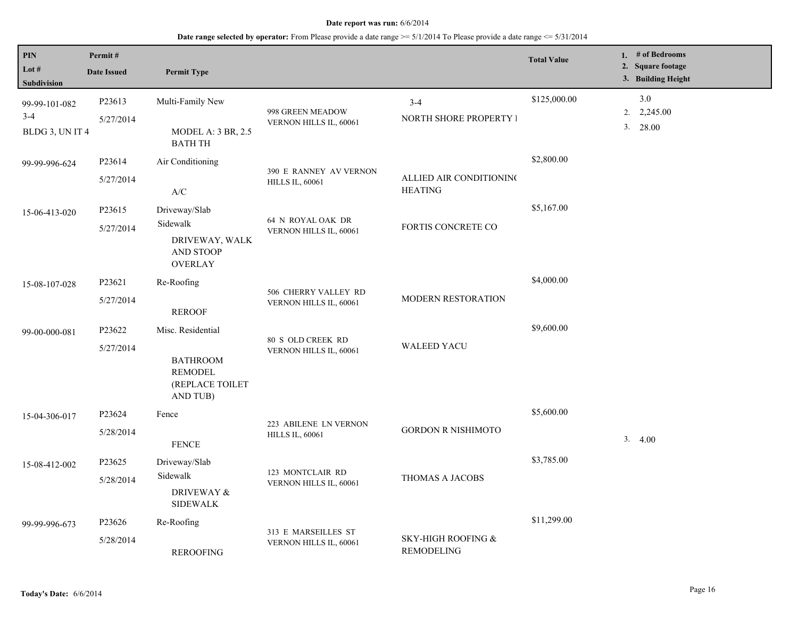| PIN<br>Lot #<br>Subdivision                 | Permit#<br><b>Date Issued</b> | <b>Permit Type</b>                                                                |                                                  |                                           | <b>Total Value</b> | 1. # of Bedrooms<br>2. Square footage<br>3. Building Height |
|---------------------------------------------|-------------------------------|-----------------------------------------------------------------------------------|--------------------------------------------------|-------------------------------------------|--------------------|-------------------------------------------------------------|
| 99-99-101-082<br>$3 - 4$<br>BLDG 3, UN IT 4 | P23613<br>5/27/2014           | Multi-Family New<br>MODEL A: 3 BR, 2.5<br><b>BATH TH</b>                          | 998 GREEN MEADOW<br>VERNON HILLS IL, 60061       | $3 - 4$<br>NORTH SHORE PROPERTY I         | \$125,000.00       | $3.0$<br>$2. \quad 2,245.00$<br>3. 28.00                    |
| 99-99-996-624                               | P23614<br>5/27/2014           | Air Conditioning<br>$\mathbf{A}/\mathbf{C}$                                       | 390 E RANNEY AV VERNON<br><b>HILLS IL, 60061</b> | ALLIED AIR CONDITIONING<br><b>HEATING</b> | \$2,800.00         |                                                             |
| 15-06-413-020                               | P23615<br>5/27/2014           | Driveway/Slab<br>Sidewalk<br>DRIVEWAY, WALK<br><b>AND STOOP</b><br><b>OVERLAY</b> | 64 N ROYAL OAK DR<br>VERNON HILLS IL, 60061      | FORTIS CONCRETE CO                        | \$5,167.00         |                                                             |
| 15-08-107-028                               | P23621<br>5/27/2014           | Re-Roofing<br><b>REROOF</b>                                                       | 506 CHERRY VALLEY RD<br>VERNON HILLS IL, 60061   | MODERN RESTORATION                        | \$4,000.00         |                                                             |
| 99-00-000-081                               | P23622<br>5/27/2014           | Misc. Residential<br><b>BATHROOM</b><br>REMODEL<br>(REPLACE TOILET<br>AND TUB)    | 80 S OLD CREEK RD<br>VERNON HILLS IL, 60061      | <b>WALEED YACU</b>                        | \$9,600.00         |                                                             |
| 15-04-306-017                               | P23624<br>5/28/2014           | Fence<br>${\tt FENCE}$                                                            | 223 ABILENE LN VERNON<br><b>HILLS IL, 60061</b>  | <b>GORDON R NISHIMOTO</b>                 | \$5,600.00         | 3.4.00                                                      |
| 15-08-412-002                               | P23625<br>5/28/2014           | Driveway/Slab<br>Sidewalk<br><b>DRIVEWAY &amp;</b><br><b>SIDEWALK</b>             | 123 MONTCLAIR RD<br>VERNON HILLS IL, 60061       | THOMAS A JACOBS                           | \$3,785.00         |                                                             |
| 99-99-996-673                               | P23626<br>5/28/2014           | Re-Roofing<br><b>REROOFING</b>                                                    | 313 E MARSEILLES ST<br>VERNON HILLS IL, 60061    | SKY-HIGH ROOFING &<br>REMODELING          | \$11,299.00        |                                                             |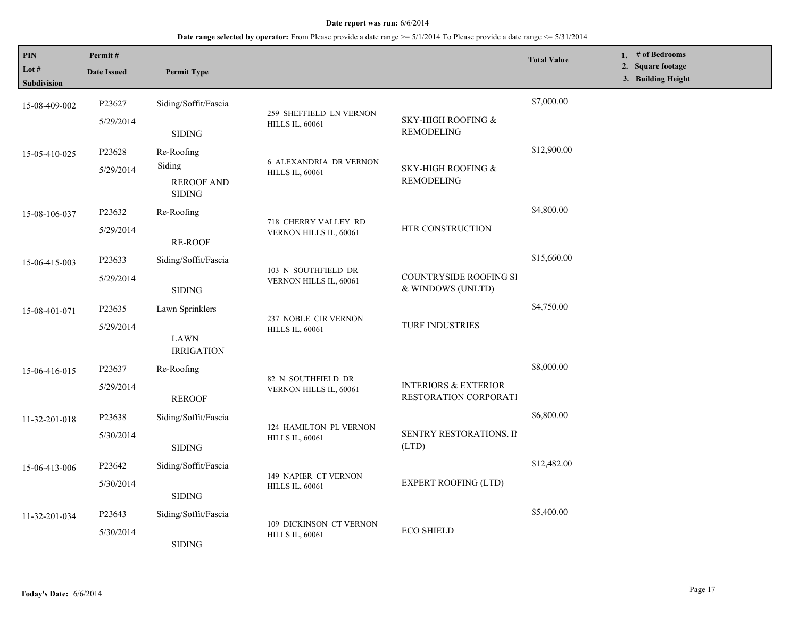**Date range selected by operator:** From Please provide a date range >= 5/1/2014 To Please provide a date range <= 5/31/2014

| PIN<br>Lot #<br><b>Subdivision</b> | Permit#<br><b>Date Issued</b>                                                       | <b>Permit Type</b>                               |                                                         |                                                          | <b>Total Value</b> |  | 1. $#$ of Bedrooms<br>2. Square footage<br>3. Building Height |  |
|------------------------------------|-------------------------------------------------------------------------------------|--------------------------------------------------|---------------------------------------------------------|----------------------------------------------------------|--------------------|--|---------------------------------------------------------------|--|
| 15-08-409-002                      | P23627                                                                              | Siding/Soffit/Fascia                             |                                                         |                                                          | \$7,000.00         |  |                                                               |  |
|                                    | 5/29/2014                                                                           | <b>SIDING</b>                                    | 259 SHEFFIELD LN VERNON<br><b>HILLS IL, 60061</b>       | SKY-HIGH ROOFING &<br><b>REMODELING</b>                  |                    |  |                                                               |  |
| 15-05-410-025                      | P23628                                                                              | Re-Roofing                                       |                                                         |                                                          | \$12,900.00        |  |                                                               |  |
|                                    | 5/29/2014                                                                           | Siding                                           | <b>6 ALEXANDRIA DR VERNON</b><br><b>HILLS IL, 60061</b> | SKY-HIGH ROOFING &                                       |                    |  |                                                               |  |
|                                    |                                                                                     | <b>REROOF AND</b><br><b>SIDING</b>               |                                                         | <b>REMODELING</b>                                        |                    |  |                                                               |  |
| 15-08-106-037                      | P23632                                                                              | Re-Roofing                                       |                                                         |                                                          | \$4,800.00         |  |                                                               |  |
|                                    | 5/29/2014                                                                           | <b>RE-ROOF</b>                                   | 718 CHERRY VALLEY RD<br>VERNON HILLS IL, 60061          | HTR CONSTRUCTION                                         |                    |  |                                                               |  |
| 15-06-415-003                      | P23633                                                                              | Siding/Soffit/Fascia                             | 103 N SOUTHFIELD DR<br>VERNON HILLS IL, 60061           |                                                          | \$15,660.00        |  |                                                               |  |
|                                    | 5/29/2014                                                                           | <b>SIDING</b>                                    |                                                         | <b>COUNTRYSIDE ROOFING SI</b><br>& WINDOWS (UNLTD)       |                    |  |                                                               |  |
| 15-08-401-071                      | P23635                                                                              | Lawn Sprinklers                                  | 237 NOBLE CIR VERNON<br><b>HILLS IL, 60061</b>          | <b>TURF INDUSTRIES</b>                                   | \$4,750.00         |  |                                                               |  |
|                                    | 5/29/2014<br>LAWN<br><b>IRRIGATION</b>                                              |                                                  |                                                         |                                                          |                    |  |                                                               |  |
|                                    |                                                                                     |                                                  |                                                         |                                                          |                    |  |                                                               |  |
| 15-06-416-015                      | P23637                                                                              | Re-Roofing                                       |                                                         |                                                          | \$8,000.00         |  |                                                               |  |
|                                    | 5/29/2014                                                                           | <b>REROOF</b>                                    | 82 N SOUTHFIELD DR<br>VERNON HILLS IL, 60061            | <b>INTERIORS &amp; EXTERIOR</b><br>RESTORATION CORPORATI |                    |  |                                                               |  |
| 11-32-201-018                      | P23638                                                                              | Siding/Soffit/Fascia                             |                                                         |                                                          | \$6,800.00         |  |                                                               |  |
|                                    | 5/30/2014<br><b>SIDING</b>                                                          | 124 HAMILTON PL VERNON<br><b>HILLS IL, 60061</b> | SENTRY RESTORATIONS, II<br>(LTD)                        |                                                          |                    |  |                                                               |  |
| 15-06-413-006                      | P23642                                                                              | Siding/Soffit/Fascia                             |                                                         |                                                          | \$12,482.00        |  |                                                               |  |
|                                    | <b>149 NAPIER CT VERNON</b><br>5/30/2014<br><b>HILLS IL, 60061</b><br><b>SIDING</b> |                                                  | <b>EXPERT ROOFING (LTD)</b>                             |                                                          |                    |  |                                                               |  |
| 11-32-201-034                      | P23643                                                                              | Siding/Soffit/Fascia                             |                                                         |                                                          | \$5,400.00         |  |                                                               |  |
|                                    | 5/30/2014                                                                           | <b>SIDING</b>                                    | 109 DICKINSON CT VERNON<br><b>HILLS IL, 60061</b>       | <b>ECO SHIELD</b>                                        |                    |  |                                                               |  |

L